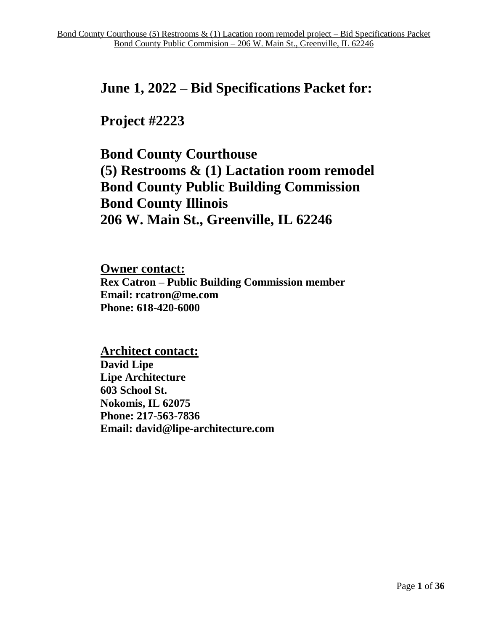# **June 1, 2022 – Bid Specifications Packet for:**

# **Project #2223**

**Bond County Courthouse (5) Restrooms & (1) Lactation room remodel Bond County Public Building Commission Bond County Illinois 206 W. Main St., Greenville, IL 62246**

**Owner contact: Rex Catron – Public Building Commission member Email: rcatron@me.com Phone: 618-420-6000**

**Architect contact: David Lipe Lipe Architecture 603 School St. Nokomis, IL 62075 Phone: 217-563-7836 Email: david@lipe-architecture.com**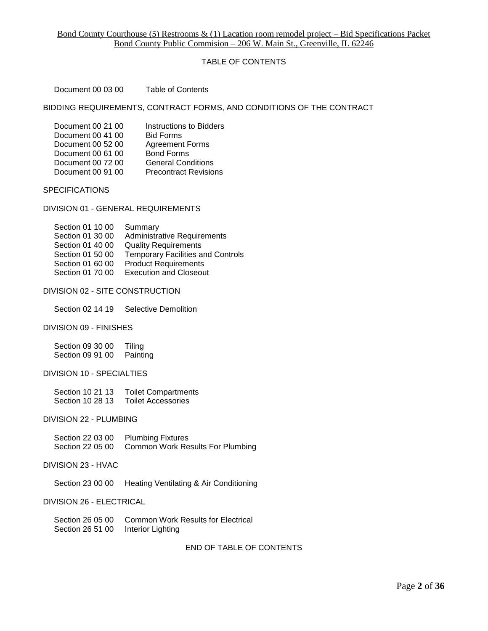## TABLE OF CONTENTS

Document 00 03 00 Table of Contents

BIDDING REQUIREMENTS, CONTRACT FORMS, AND CONDITIONS OF THE CONTRACT

| Document 00 21 00 | Instructions to Bidders      |
|-------------------|------------------------------|
| Document 00 41 00 | <b>Bid Forms</b>             |
| Document 00 52 00 | <b>Agreement Forms</b>       |
| Document 00 61 00 | <b>Bond Forms</b>            |
| Document 00 72 00 | <b>General Conditions</b>    |
| Document 00 91 00 | <b>Precontract Revisions</b> |

**SPECIFICATIONS** 

DIVISION 01 - GENERAL REQUIREMENTS

| Section 01 10 00 | Summary                                  |
|------------------|------------------------------------------|
| Section 01 30 00 | <b>Administrative Requirements</b>       |
| Section 01 40 00 | <b>Quality Requirements</b>              |
| Section 01 50 00 | <b>Temporary Facilities and Controls</b> |
| Section 01 60 00 | <b>Product Requirements</b>              |
| Section 01 70 00 | <b>Execution and Closeout</b>            |

#### DIVISION 02 - SITE CONSTRUCTION

Section 02 14 19 Selective Demolition

#### DIVISION 09 - FINISHES

Section 09 30 00 Tiling Section 09 91 00 Painting

## DIVISION 10 - SPECIALTIES

 Section 10 21 13 Toilet Compartments Section 10 28 13 Toilet Accessories

#### DIVISION 22 - PLUMBING

Section 22 03 00 Plumbing Fixtures<br>Section 22 05 00 Common Work Re Common Work Results For Plumbing

#### DIVISION 23 - HVAC

Section 23 00 00 Heating Ventilating & Air Conditioning

## DIVISION 26 - ELECTRICAL

| Section 26 05 00 | Common Work Results for Electrical |
|------------------|------------------------------------|
| Section 26 51 00 | Interior Lighting                  |

END OF TABLE OF CONTENTS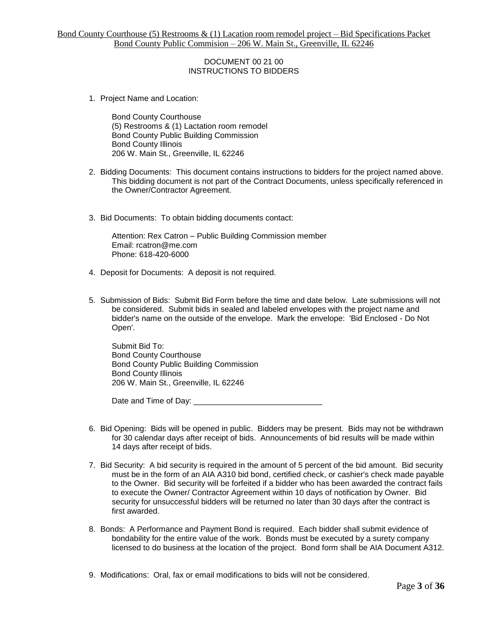## DOCUMENT 00 21 00 INSTRUCTIONS TO BIDDERS

1. Project Name and Location:

Bond County Courthouse (5) Restrooms & (1) Lactation room remodel Bond County Public Building Commission Bond County Illinois 206 W. Main St., Greenville, IL 62246

- 2. Bidding Documents: This document contains instructions to bidders for the project named above. This bidding document is not part of the Contract Documents, unless specifically referenced in the Owner/Contractor Agreement.
- 3. Bid Documents: To obtain bidding documents contact:

Attention: Rex Catron – Public Building Commission member Email: rcatron@me.com Phone: 618-420-6000

- 4. Deposit for Documents: A deposit is not required.
- 5. Submission of Bids: Submit Bid Form before the time and date below. Late submissions will not be considered. Submit bids in sealed and labeled envelopes with the project name and bidder's name on the outside of the envelope. Mark the envelope: 'Bid Enclosed - Do Not Open'.

Submit Bid To: Bond County Courthouse Bond County Public Building Commission Bond County Illinois 206 W. Main St., Greenville, IL 62246

Date and Time of Day: \_\_\_\_\_\_

- 6. Bid Opening: Bids will be opened in public. Bidders may be present. Bids may not be withdrawn for 30 calendar days after receipt of bids. Announcements of bid results will be made within 14 days after receipt of bids.
- 7. Bid Security: A bid security is required in the amount of 5 percent of the bid amount. Bid security must be in the form of an AIA A310 bid bond, certified check, or cashier's check made payable to the Owner. Bid security will be forfeited if a bidder who has been awarded the contract fails to execute the Owner/ Contractor Agreement within 10 days of notification by Owner. Bid security for unsuccessful bidders will be returned no later than 30 days after the contract is first awarded.
- 8. Bonds: A Performance and Payment Bond is required. Each bidder shall submit evidence of bondability for the entire value of the work. Bonds must be executed by a surety company licensed to do business at the location of the project. Bond form shall be AIA Document A312.
- 9. Modifications: Oral, fax or email modifications to bids will not be considered.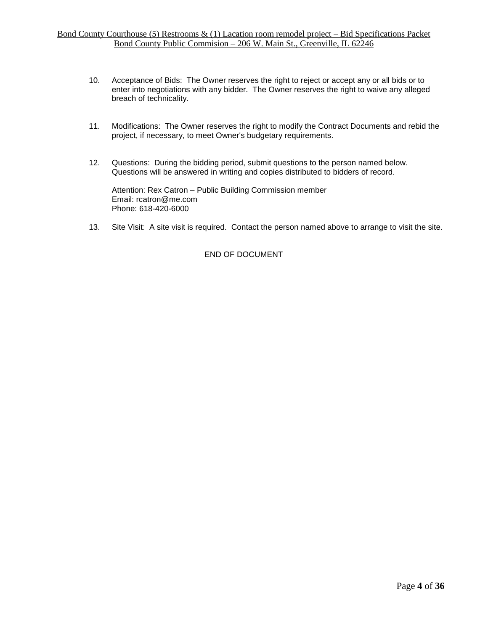- 10. Acceptance of Bids: The Owner reserves the right to reject or accept any or all bids or to enter into negotiations with any bidder. The Owner reserves the right to waive any alleged breach of technicality.
- 11. Modifications: The Owner reserves the right to modify the Contract Documents and rebid the project, if necessary, to meet Owner's budgetary requirements.
- 12. Questions: During the bidding period, submit questions to the person named below. Questions will be answered in writing and copies distributed to bidders of record.

Attention: Rex Catron – Public Building Commission member Email: rcatron@me.com Phone: 618-420-6000

13. Site Visit: A site visit is required. Contact the person named above to arrange to visit the site.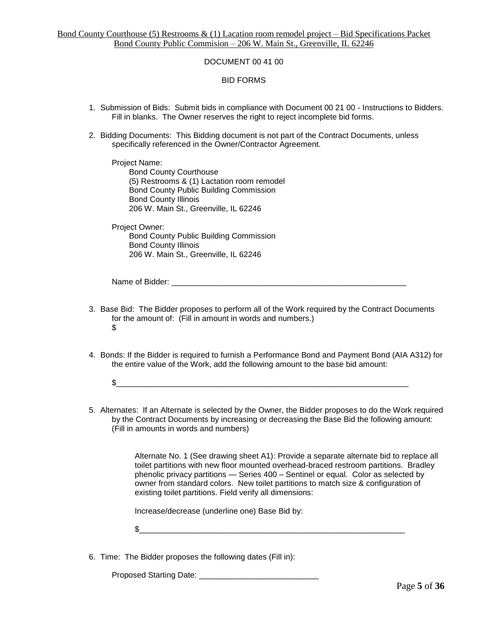## DOCUMENT 00 41 00

BID FORMS

- 1. Submission of Bids: Submit bids in compliance with Document 00 21 00 Instructions to Bidders. Fill in blanks. The Owner reserves the right to reject incomplete bid forms.
- 2. Bidding Documents: This Bidding document is not part of the Contract Documents, unless specifically referenced in the Owner/Contractor Agreement.

Project Name: Bond County Courthouse (5) Restrooms & (1) Lactation room remodel Bond County Public Building Commission Bond County Illinois 206 W. Main St., Greenville, IL 62246

Project Owner:

Bond County Public Building Commission Bond County Illinois 206 W. Main St., Greenville, IL 62246

Name of Bidder:

- 3. Base Bid: The Bidder proposes to perform all of the Work required by the Contract Documents for the amount of: (Fill in amount in words and numbers.) \$
- 4. Bonds: If the Bidder is required to furnish a Performance Bond and Payment Bond (AIA A312) for the entire value of the Work, add the following amount to the base bid amount:
	- $\mathfrak{s}_-$  , and the set of the set of the set of the set of the set of the set of the set of the set of the set of the set of the set of the set of the set of the set of the set of the set of the set of the set of the set
- 5. Alternates: If an Alternate is selected by the Owner, the Bidder proposes to do the Work required by the Contract Documents by increasing or decreasing the Base Bid the following amount: (Fill in amounts in words and numbers)

Alternate No. 1 (See drawing sheet A1): Provide a separate alternate bid to replace all toilet partitions with new floor mounted overhead-braced restroom partitions. Bradley phenolic privacy partitions — Series 400 – Sentinel or equal. Color as selected by owner from standard colors. New toilet partitions to match size & configuration of existing toilet partitions. Field verify all dimensions:

Increase/decrease (underline one) Base Bid by:

 $\mathbb$ 

6. Time: The Bidder proposes the following dates (Fill in):

Proposed Starting Date: \_\_\_\_\_\_\_\_\_\_\_\_\_\_\_\_\_\_\_\_\_\_\_\_\_\_\_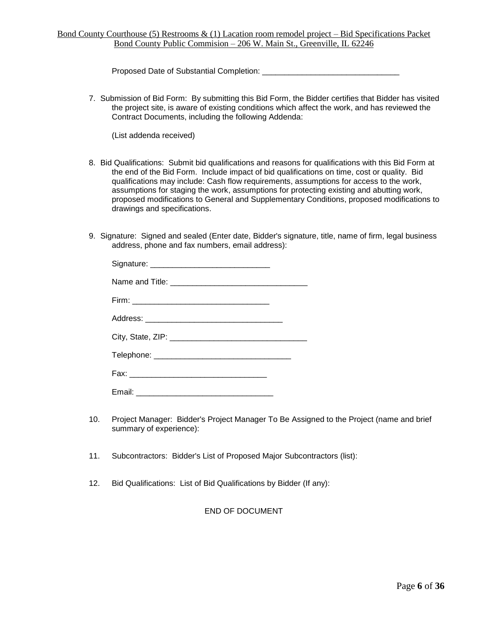Proposed Date of Substantial Completion: \_\_\_\_\_\_\_\_\_\_\_\_\_

7. Submission of Bid Form: By submitting this Bid Form, the Bidder certifies that Bidder has visited the project site, is aware of existing conditions which affect the work, and has reviewed the Contract Documents, including the following Addenda:

(List addenda received)

- 8. Bid Qualifications: Submit bid qualifications and reasons for qualifications with this Bid Form at the end of the Bid Form. Include impact of bid qualifications on time, cost or quality. Bid qualifications may include: Cash flow requirements, assumptions for access to the work, assumptions for staging the work, assumptions for protecting existing and abutting work, proposed modifications to General and Supplementary Conditions, proposed modifications to drawings and specifications.
- 9. Signature: Signed and sealed (Enter date, Bidder's signature, title, name of firm, legal business address, phone and fax numbers, email address):

- 10. Project Manager: Bidder's Project Manager To Be Assigned to the Project (name and brief summary of experience):
- 11. Subcontractors: Bidder's List of Proposed Major Subcontractors (list):
- 12. Bid Qualifications: List of Bid Qualifications by Bidder (If any):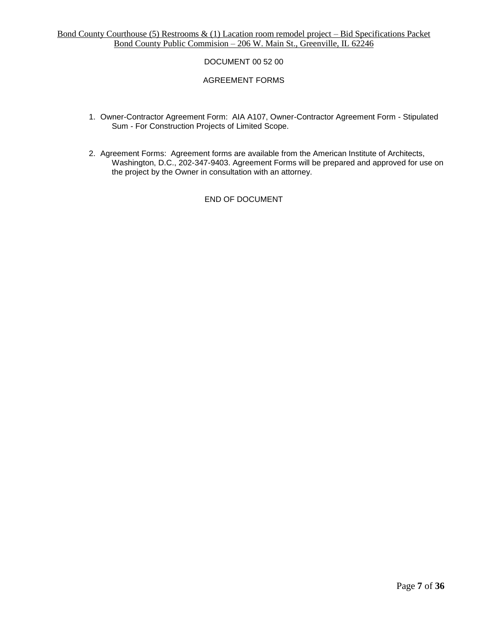# DOCUMENT 00 52 00

## AGREEMENT FORMS

- 1. Owner-Contractor Agreement Form: AIA A107, Owner-Contractor Agreement Form Stipulated Sum - For Construction Projects of Limited Scope.
- 2. Agreement Forms: Agreement forms are available from the American Institute of Architects, Washington, D.C., 202-347-9403. Agreement Forms will be prepared and approved for use on the project by the Owner in consultation with an attorney.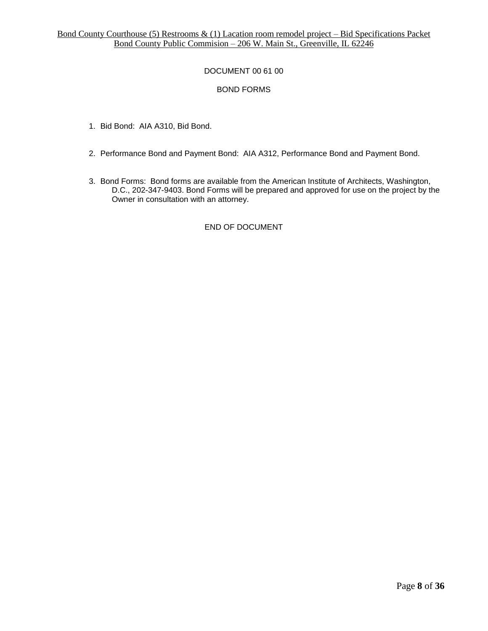# DOCUMENT 00 61 00

# BOND FORMS

- 1. Bid Bond: AIA A310, Bid Bond.
- 2. Performance Bond and Payment Bond: AIA A312, Performance Bond and Payment Bond.
- 3. Bond Forms: Bond forms are available from the American Institute of Architects, Washington, D.C., 202-347-9403. Bond Forms will be prepared and approved for use on the project by the Owner in consultation with an attorney.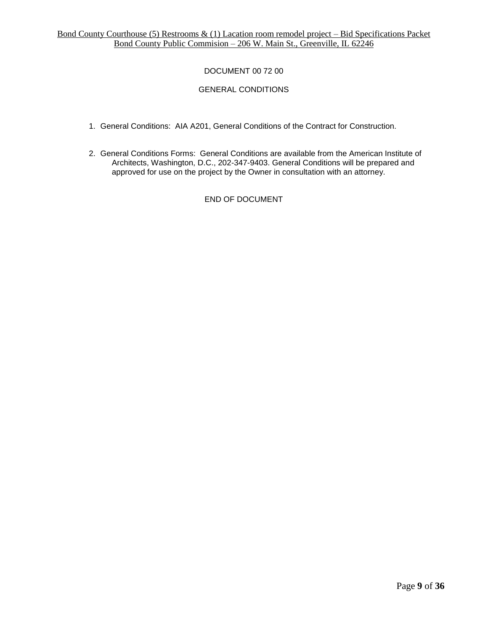# DOCUMENT 00 72 00

# GENERAL CONDITIONS

- 1. General Conditions: AIA A201, General Conditions of the Contract for Construction.
- 2. General Conditions Forms: General Conditions are available from the American Institute of Architects, Washington, D.C., 202-347-9403. General Conditions will be prepared and approved for use on the project by the Owner in consultation with an attorney.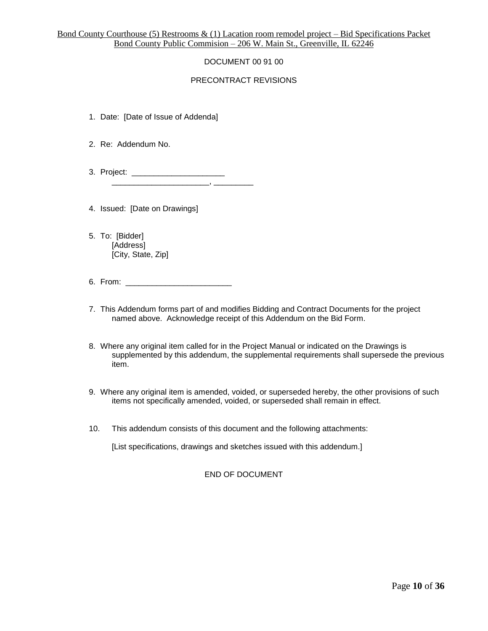# DOCUMENT 00 91 00

## PRECONTRACT REVISIONS

- 1. Date: [Date of Issue of Addenda]
- 2. Re: Addendum No.
- 3. Project: \_\_\_\_\_\_\_\_\_\_\_\_\_\_\_\_\_\_\_\_\_ \_\_\_\_\_\_\_\_\_\_\_\_\_\_\_\_\_\_\_\_\_\_, \_\_\_\_\_\_\_\_\_
- 4. Issued: [Date on Drawings]
- 5. To: [Bidder] [Address] [City, State, Zip]
- 6. From: \_\_\_\_\_\_\_\_\_\_\_\_\_\_\_\_\_\_\_\_\_\_\_\_
- 7. This Addendum forms part of and modifies Bidding and Contract Documents for the project named above. Acknowledge receipt of this Addendum on the Bid Form.
- 8. Where any original item called for in the Project Manual or indicated on the Drawings is supplemented by this addendum, the supplemental requirements shall supersede the previous item.
- 9. Where any original item is amended, voided, or superseded hereby, the other provisions of such items not specifically amended, voided, or superseded shall remain in effect.
- 10. This addendum consists of this document and the following attachments:

[List specifications, drawings and sketches issued with this addendum.]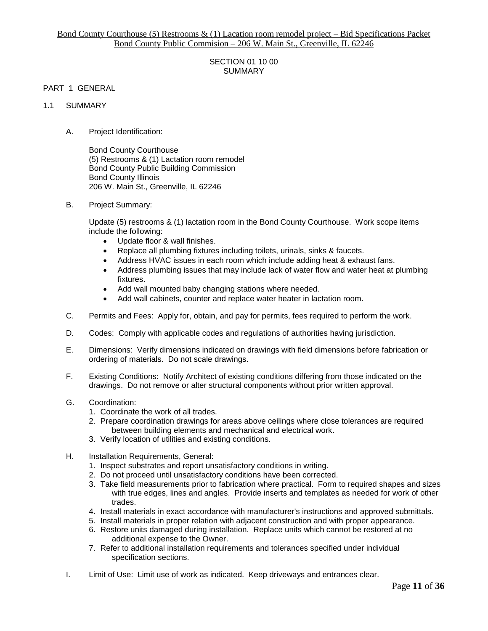## SECTION 01 10 00 SUMMARY

## PART 1 GENERAL

#### 1.1 SUMMARY

A. Project Identification:

Bond County Courthouse (5) Restrooms & (1) Lactation room remodel Bond County Public Building Commission Bond County Illinois 206 W. Main St., Greenville, IL 62246

B. Project Summary:

Update (5) restrooms & (1) lactation room in the Bond County Courthouse. Work scope items include the following:

- Update floor & wall finishes.
- Replace all plumbing fixtures including toilets, urinals, sinks & faucets.
- Address HVAC issues in each room which include adding heat & exhaust fans.
- Address plumbing issues that may include lack of water flow and water heat at plumbing fixtures.
- Add wall mounted baby changing stations where needed.
- Add wall cabinets, counter and replace water heater in lactation room.
- C. Permits and Fees: Apply for, obtain, and pay for permits, fees required to perform the work.
- D. Codes: Comply with applicable codes and regulations of authorities having jurisdiction.
- E. Dimensions: Verify dimensions indicated on drawings with field dimensions before fabrication or ordering of materials. Do not scale drawings.
- F. Existing Conditions: Notify Architect of existing conditions differing from those indicated on the drawings. Do not remove or alter structural components without prior written approval.
- G. Coordination:
	- 1. Coordinate the work of all trades.
	- 2. Prepare coordination drawings for areas above ceilings where close tolerances are required between building elements and mechanical and electrical work.
	- 3. Verify location of utilities and existing conditions.
- H. Installation Requirements, General:
	- 1. Inspect substrates and report unsatisfactory conditions in writing.
	- 2. Do not proceed until unsatisfactory conditions have been corrected.
	- 3. Take field measurements prior to fabrication where practical. Form to required shapes and sizes with true edges, lines and angles. Provide inserts and templates as needed for work of other trades.
	- 4. Install materials in exact accordance with manufacturer's instructions and approved submittals.
	- 5. Install materials in proper relation with adjacent construction and with proper appearance.
	- 6. Restore units damaged during installation. Replace units which cannot be restored at no additional expense to the Owner.
	- 7. Refer to additional installation requirements and tolerances specified under individual specification sections.
- I. Limit of Use: Limit use of work as indicated. Keep driveways and entrances clear.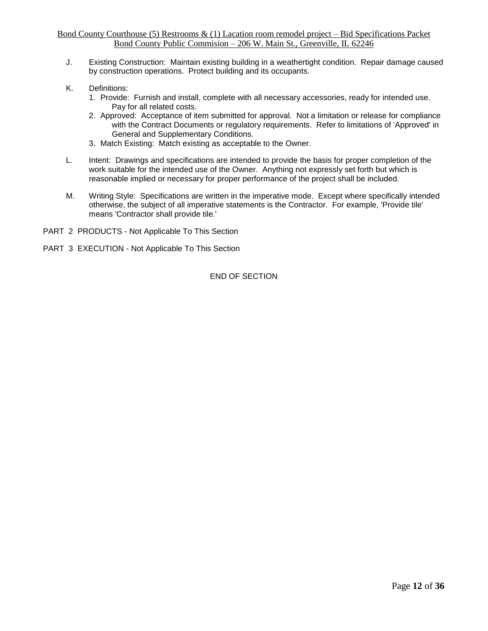- J. Existing Construction: Maintain existing building in a weathertight condition. Repair damage caused by construction operations. Protect building and its occupants.
- K. Definitions:
	- 1. Provide: Furnish and install, complete with all necessary accessories, ready for intended use. Pay for all related costs.
	- 2. Approved: Acceptance of item submitted for approval. Not a limitation or release for compliance with the Contract Documents or regulatory requirements. Refer to limitations of 'Approved' in General and Supplementary Conditions.
	- 3. Match Existing: Match existing as acceptable to the Owner.
- L. Intent: Drawings and specifications are intended to provide the basis for proper completion of the work suitable for the intended use of the Owner. Anything not expressly set forth but which is reasonable implied or necessary for proper performance of the project shall be included.
- M. Writing Style: Specifications are written in the imperative mode. Except where specifically intended otherwise, the subject of all imperative statements is the Contractor. For example, 'Provide tile' means 'Contractor shall provide tile.'
- PART 2 PRODUCTS Not Applicable To This Section
- PART 3 EXECUTION Not Applicable To This Section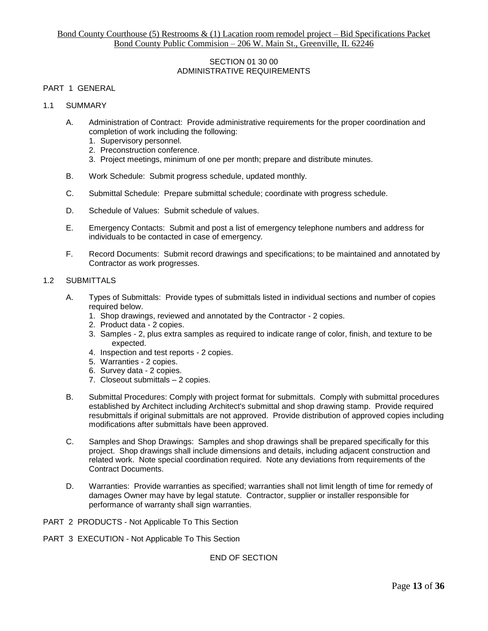## SECTION 01 30 00 ADMINISTRATIVE REQUIREMENTS

## PART 1 GENERAL

- 1.1 SUMMARY
	- A. Administration of Contract: Provide administrative requirements for the proper coordination and completion of work including the following:
		- 1. Supervisory personnel.
		- 2. Preconstruction conference.
		- 3. Project meetings, minimum of one per month; prepare and distribute minutes.
	- B. Work Schedule: Submit progress schedule, updated monthly.
	- C. Submittal Schedule: Prepare submittal schedule; coordinate with progress schedule.
	- D. Schedule of Values: Submit schedule of values.
	- E. Emergency Contacts: Submit and post a list of emergency telephone numbers and address for individuals to be contacted in case of emergency.
	- F. Record Documents: Submit record drawings and specifications; to be maintained and annotated by Contractor as work progresses.

## 1.2 SUBMITTALS

- A. Types of Submittals: Provide types of submittals listed in individual sections and number of copies required below.
	- 1. Shop drawings, reviewed and annotated by the Contractor 2 copies.
	- 2. Product data 2 copies.
	- 3. Samples 2, plus extra samples as required to indicate range of color, finish, and texture to be expected.
	- 4. Inspection and test reports 2 copies.
	- 5. Warranties 2 copies.
	- 6. Survey data 2 copies.
	- 7. Closeout submittals 2 copies.
- B. Submittal Procedures: Comply with project format for submittals. Comply with submittal procedures established by Architect including Architect's submittal and shop drawing stamp. Provide required resubmittals if original submittals are not approved. Provide distribution of approved copies including modifications after submittals have been approved.
- C. Samples and Shop Drawings: Samples and shop drawings shall be prepared specifically for this project. Shop drawings shall include dimensions and details, including adjacent construction and related work. Note special coordination required. Note any deviations from requirements of the Contract Documents.
- D. Warranties: Provide warranties as specified; warranties shall not limit length of time for remedy of damages Owner may have by legal statute. Contractor, supplier or installer responsible for performance of warranty shall sign warranties.
- PART 2 PRODUCTS Not Applicable To This Section
- PART 3 EXECUTION Not Applicable To This Section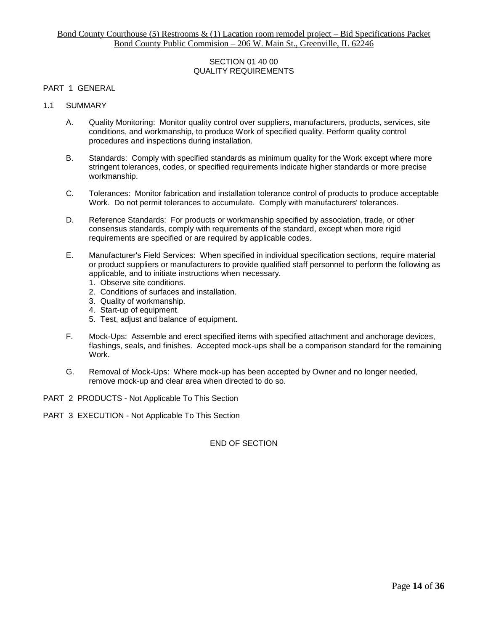## SECTION 01 40 00 QUALITY REQUIREMENTS

## PART 1 GENERAL

- 1.1 SUMMARY
	- A. Quality Monitoring: Monitor quality control over suppliers, manufacturers, products, services, site conditions, and workmanship, to produce Work of specified quality. Perform quality control procedures and inspections during installation.
	- B. Standards: Comply with specified standards as minimum quality for the Work except where more stringent tolerances, codes, or specified requirements indicate higher standards or more precise workmanship.
	- C. Tolerances: Monitor fabrication and installation tolerance control of products to produce acceptable Work. Do not permit tolerances to accumulate. Comply with manufacturers' tolerances.
	- D. Reference Standards: For products or workmanship specified by association, trade, or other consensus standards, comply with requirements of the standard, except when more rigid requirements are specified or are required by applicable codes.
	- E. Manufacturer's Field Services: When specified in individual specification sections, require material or product suppliers or manufacturers to provide qualified staff personnel to perform the following as applicable, and to initiate instructions when necessary.
		- 1. Observe site conditions.
		- 2. Conditions of surfaces and installation.
		- 3. Quality of workmanship.
		- 4. Start-up of equipment.
		- 5. Test, adjust and balance of equipment.
	- F. Mock-Ups: Assemble and erect specified items with specified attachment and anchorage devices, flashings, seals, and finishes. Accepted mock-ups shall be a comparison standard for the remaining Work.
	- G. Removal of Mock-Ups: Where mock-up has been accepted by Owner and no longer needed, remove mock-up and clear area when directed to do so.
- PART 2 PRODUCTS Not Applicable To This Section
- PART 3 EXECUTION Not Applicable To This Section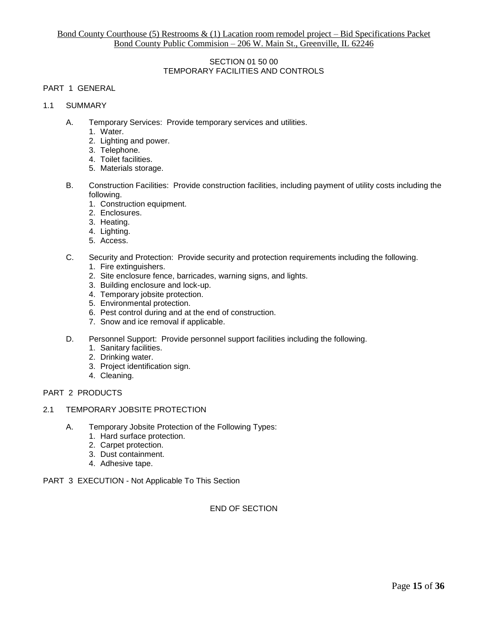## SECTION 01 50 00 TEMPORARY FACILITIES AND CONTROLS

# PART 1 GENERAL

- 1.1 SUMMARY
	- A. Temporary Services: Provide temporary services and utilities.
		- 1. Water.
		- 2. Lighting and power.
		- 3. Telephone.
		- 4. Toilet facilities.
		- 5. Materials storage.
	- B. Construction Facilities: Provide construction facilities, including payment of utility costs including the following.
		- 1. Construction equipment.
		- 2. Enclosures.
		- 3. Heating.
		- 4. Lighting.
		- 5. Access.
	- C. Security and Protection: Provide security and protection requirements including the following.
		- 1. Fire extinguishers.
		- 2. Site enclosure fence, barricades, warning signs, and lights.
		- 3. Building enclosure and lock-up.
		- 4. Temporary jobsite protection.
		- 5. Environmental protection.
		- 6. Pest control during and at the end of construction.
		- 7. Snow and ice removal if applicable.
	- D. Personnel Support: Provide personnel support facilities including the following.
		- 1. Sanitary facilities.
		- 2. Drinking water.
		- 3. Project identification sign.
		- 4. Cleaning.

# PART 2 PRODUCTS

- 2.1 TEMPORARY JOBSITE PROTECTION
	- A. Temporary Jobsite Protection of the Following Types:
		- 1. Hard surface protection.
		- 2. Carpet protection.
		- 3. Dust containment.
		- 4. Adhesive tape.
- PART 3 EXECUTION Not Applicable To This Section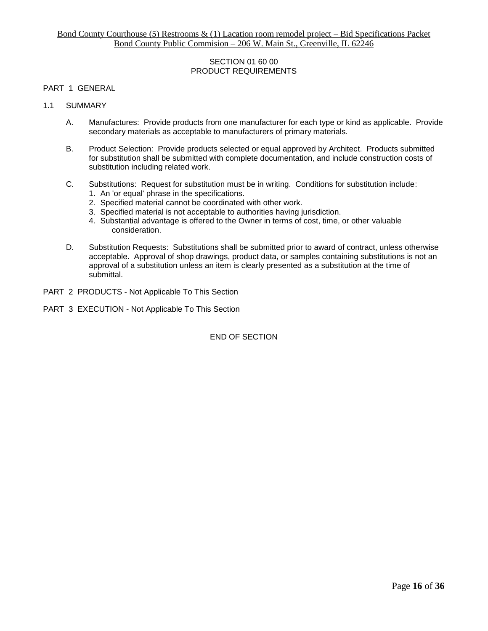## SECTION 01 60 00 PRODUCT REQUIREMENTS

## PART 1 GENERAL

#### 1.1 SUMMARY

- A. Manufactures: Provide products from one manufacturer for each type or kind as applicable. Provide secondary materials as acceptable to manufacturers of primary materials.
- B. Product Selection: Provide products selected or equal approved by Architect. Products submitted for substitution shall be submitted with complete documentation, and include construction costs of substitution including related work.
- C. Substitutions: Request for substitution must be in writing. Conditions for substitution include:
	- 1. An 'or equal' phrase in the specifications.
	- 2. Specified material cannot be coordinated with other work.
	- 3. Specified material is not acceptable to authorities having jurisdiction.
	- 4. Substantial advantage is offered to the Owner in terms of cost, time, or other valuable consideration.
- D. Substitution Requests: Substitutions shall be submitted prior to award of contract, unless otherwise acceptable. Approval of shop drawings, product data, or samples containing substitutions is not an approval of a substitution unless an item is clearly presented as a substitution at the time of submittal.
- PART 2 PRODUCTS Not Applicable To This Section
- PART 3 EXECUTION Not Applicable To This Section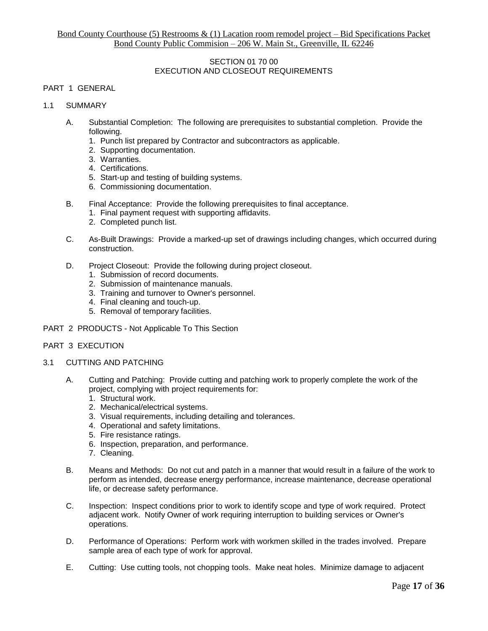## SECTION 01 70 00 EXECUTION AND CLOSEOUT REQUIREMENTS

# PART 1 GENERAL

# 1.1 SUMMARY

- A. Substantial Completion: The following are prerequisites to substantial completion. Provide the following.
	- 1. Punch list prepared by Contractor and subcontractors as applicable.
	- 2. Supporting documentation.
	- 3. Warranties.
	- 4. Certifications.
	- 5. Start-up and testing of building systems.
	- 6. Commissioning documentation.
- B. Final Acceptance: Provide the following prerequisites to final acceptance.
	- 1. Final payment request with supporting affidavits.
	- 2. Completed punch list.
- C. As-Built Drawings: Provide a marked-up set of drawings including changes, which occurred during construction.
- D. Project Closeout: Provide the following during project closeout.
	- 1. Submission of record documents.
	- 2. Submission of maintenance manuals.
	- 3. Training and turnover to Owner's personnel.
	- 4. Final cleaning and touch-up.
	- 5. Removal of temporary facilities.
- PART 2 PRODUCTS Not Applicable To This Section

#### PART 3 EXECUTION

- 3.1 CUTTING AND PATCHING
	- A. Cutting and Patching: Provide cutting and patching work to properly complete the work of the project, complying with project requirements for:
		- 1. Structural work.
		- 2. Mechanical/electrical systems.
		- 3. Visual requirements, including detailing and tolerances.
		- 4. Operational and safety limitations.
		- 5. Fire resistance ratings.
		- 6. Inspection, preparation, and performance.
		- 7. Cleaning.
	- B. Means and Methods: Do not cut and patch in a manner that would result in a failure of the work to perform as intended, decrease energy performance, increase maintenance, decrease operational life, or decrease safety performance.
	- C. Inspection: Inspect conditions prior to work to identify scope and type of work required. Protect adjacent work. Notify Owner of work requiring interruption to building services or Owner's operations.
	- D. Performance of Operations: Perform work with workmen skilled in the trades involved. Prepare sample area of each type of work for approval.
	- E. Cutting: Use cutting tools, not chopping tools. Make neat holes. Minimize damage to adjacent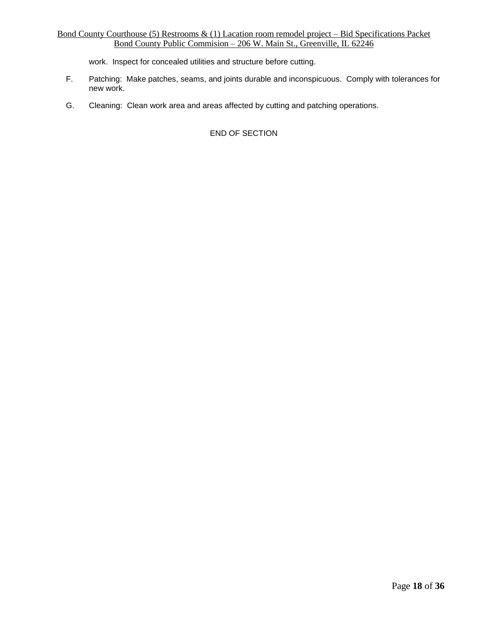work. Inspect for concealed utilities and structure before cutting.

- F. Patching: Make patches, seams, and joints durable and inconspicuous. Comply with tolerances for new work.
- G. Cleaning: Clean work area and areas affected by cutting and patching operations.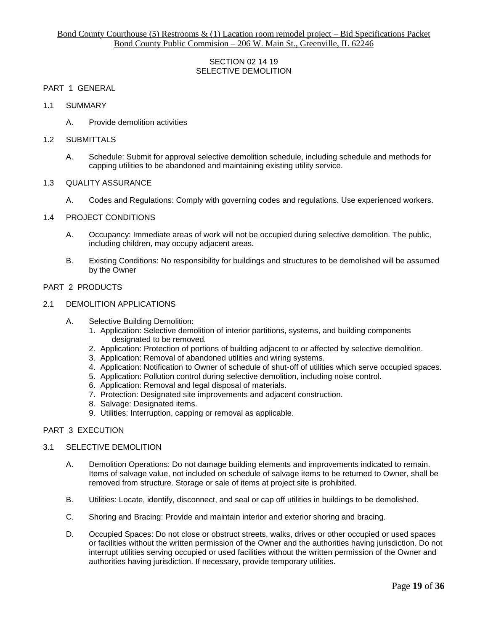## SECTION 02 14 19 SELECTIVE DEMOLITION

#### PART 1 GENERAL

- 1.1 SUMMARY
	- A. Provide demolition activities

#### 1.2 SUBMITTALS

A. Schedule: Submit for approval selective demolition schedule, including schedule and methods for capping utilities to be abandoned and maintaining existing utility service.

#### 1.3 QUALITY ASSURANCE

A. Codes and Regulations: Comply with governing codes and regulations. Use experienced workers.

#### 1.4 PROJECT CONDITIONS

- A. Occupancy: Immediate areas of work will not be occupied during selective demolition. The public, including children, may occupy adjacent areas.
- B. Existing Conditions: No responsibility for buildings and structures to be demolished will be assumed by the Owner

#### PART 2 PRODUCTS

#### 2.1 DEMOLITION APPLICATIONS

- A. Selective Building Demolition:
	- 1. Application: Selective demolition of interior partitions, systems, and building components designated to be removed.
	- 2. Application: Protection of portions of building adjacent to or affected by selective demolition.
	- 3. Application: Removal of abandoned utilities and wiring systems.
	- 4. Application: Notification to Owner of schedule of shut-off of utilities which serve occupied spaces.
	- 5. Application: Pollution control during selective demolition, including noise control.
	- 6. Application: Removal and legal disposal of materials.
	- 7. Protection: Designated site improvements and adjacent construction.
	- 8. Salvage: Designated items.
	- 9. Utilities: Interruption, capping or removal as applicable.

#### PART 3 EXECUTION

#### 3.1 SELECTIVE DEMOLITION

- A. Demolition Operations: Do not damage building elements and improvements indicated to remain. Items of salvage value, not included on schedule of salvage items to be returned to Owner, shall be removed from structure. Storage or sale of items at project site is prohibited.
- B. Utilities: Locate, identify, disconnect, and seal or cap off utilities in buildings to be demolished.
- C. Shoring and Bracing: Provide and maintain interior and exterior shoring and bracing.
- D. Occupied Spaces: Do not close or obstruct streets, walks, drives or other occupied or used spaces or facilities without the written permission of the Owner and the authorities having jurisdiction. Do not interrupt utilities serving occupied or used facilities without the written permission of the Owner and authorities having jurisdiction. If necessary, provide temporary utilities.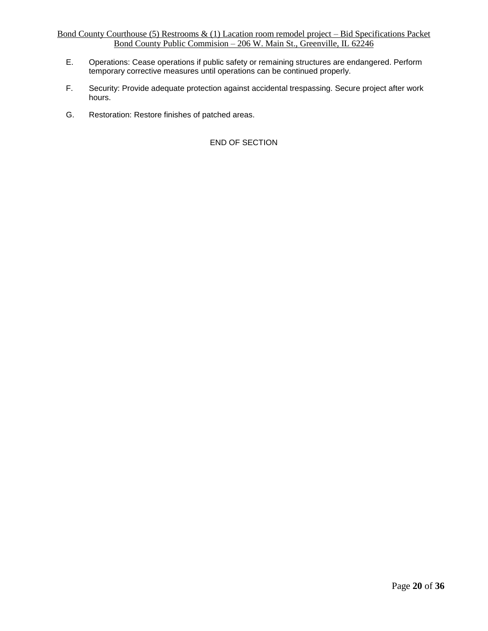- E. Operations: Cease operations if public safety or remaining structures are endangered. Perform temporary corrective measures until operations can be continued properly.
- F. Security: Provide adequate protection against accidental trespassing. Secure project after work hours.
- G. Restoration: Restore finishes of patched areas.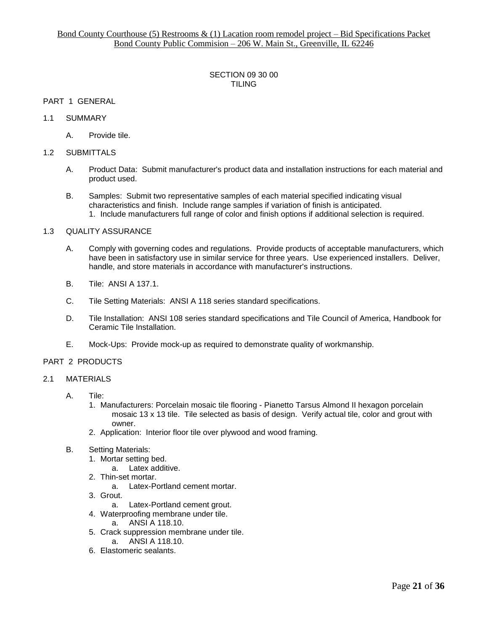## SECTION 09 30 00 TILING

## PART 1 GENERAL

## 1.1 SUMMARY

A. Provide tile.

#### 1.2 SUBMITTALS

- A. Product Data: Submit manufacturer's product data and installation instructions for each material and product used.
- B. Samples: Submit two representative samples of each material specified indicating visual characteristics and finish. Include range samples if variation of finish is anticipated. 1. Include manufacturers full range of color and finish options if additional selection is required.

#### 1.3 QUALITY ASSURANCE

- A. Comply with governing codes and regulations. Provide products of acceptable manufacturers, which have been in satisfactory use in similar service for three years. Use experienced installers. Deliver, handle, and store materials in accordance with manufacturer's instructions.
- B. Tile: ANSI A 137.1.
- C. Tile Setting Materials: ANSI A 118 series standard specifications.
- D. Tile Installation: ANSI 108 series standard specifications and Tile Council of America, Handbook for Ceramic Tile Installation.
- E. Mock-Ups: Provide mock-up as required to demonstrate quality of workmanship.

# PART 2 PRODUCTS

#### 2.1 MATERIALS

- A. Tile:
	- 1. Manufacturers: Porcelain mosaic tile flooring Pianetto Tarsus Almond II hexagon porcelain mosaic 13 x 13 tile. Tile selected as basis of design. Verify actual tile, color and grout with owner.
	- 2. Application: Interior floor tile over plywood and wood framing.
- B. Setting Materials:
	- 1. Mortar setting bed.
		- a. Latex additive.
	- 2. Thin-set mortar.
		- a. Latex-Portland cement mortar.
	- 3. Grout.
		- a. Latex-Portland cement grout.
	- 4. Waterproofing membrane under tile. a. ANSI A 118.10.
	- 5. Crack suppression membrane under tile. a. ANSI A 118.10.
		-
	- 6. Elastomeric sealants.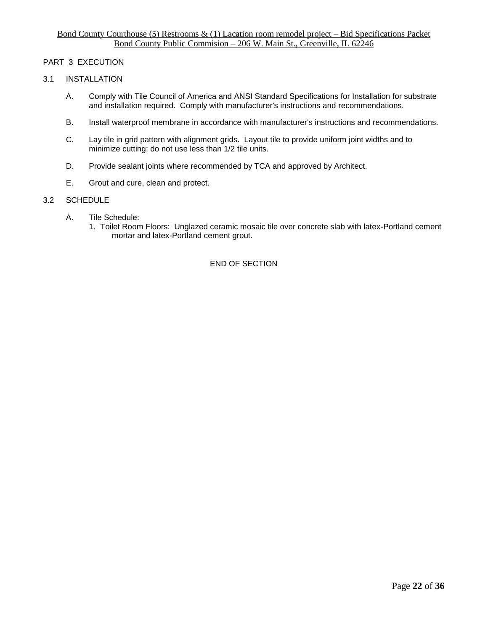## PART 3 EXECUTION

## 3.1 INSTALLATION

- A. Comply with Tile Council of America and ANSI Standard Specifications for Installation for substrate and installation required. Comply with manufacturer's instructions and recommendations.
- B. Install waterproof membrane in accordance with manufacturer's instructions and recommendations.
- C. Lay tile in grid pattern with alignment grids. Layout tile to provide uniform joint widths and to minimize cutting; do not use less than 1/2 tile units.
- D. Provide sealant joints where recommended by TCA and approved by Architect.
- E. Grout and cure, clean and protect.

#### 3.2 SCHEDULE

- A. Tile Schedule:
	- 1. Toilet Room Floors: Unglazed ceramic mosaic tile over concrete slab with latex-Portland cement mortar and latex-Portland cement grout.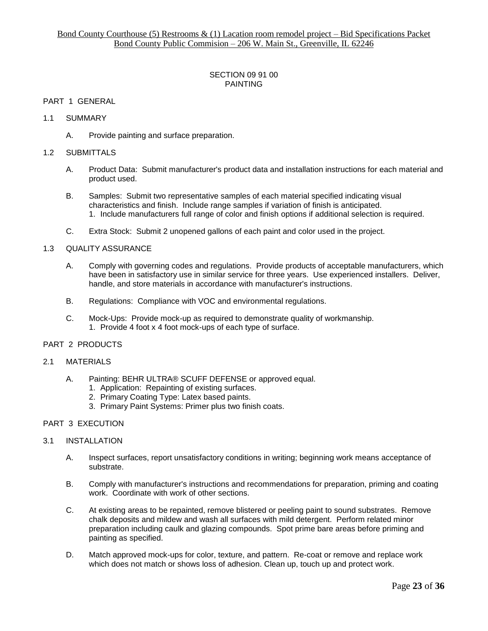## SECTION 09 91 00 PAINTING

## PART 1 GENERAL

## 1.1 SUMMARY

A. Provide painting and surface preparation.

#### 1.2 SUBMITTALS

- A. Product Data: Submit manufacturer's product data and installation instructions for each material and product used.
- B. Samples: Submit two representative samples of each material specified indicating visual characteristics and finish. Include range samples if variation of finish is anticipated. 1. Include manufacturers full range of color and finish options if additional selection is required.
- C. Extra Stock: Submit 2 unopened gallons of each paint and color used in the project.

#### 1.3 QUALITY ASSURANCE

- A. Comply with governing codes and regulations. Provide products of acceptable manufacturers, which have been in satisfactory use in similar service for three years. Use experienced installers. Deliver, handle, and store materials in accordance with manufacturer's instructions.
- B. Regulations: Compliance with VOC and environmental regulations.
- C. Mock-Ups: Provide mock-up as required to demonstrate quality of workmanship. 1. Provide 4 foot x 4 foot mock-ups of each type of surface.

# PART 2 PRODUCTS

#### 2.1 MATERIALS

- A. Painting: BEHR ULTRA® SCUFF DEFENSE or approved equal.
	- 1. Application: Repainting of existing surfaces.
	- 2. Primary Coating Type: Latex based paints.
	- 3. Primary Paint Systems: Primer plus two finish coats.

#### PART 3 EXECUTION

#### 3.1 INSTALLATION

- A. Inspect surfaces, report unsatisfactory conditions in writing; beginning work means acceptance of substrate.
- B. Comply with manufacturer's instructions and recommendations for preparation, priming and coating work. Coordinate with work of other sections.
- C. At existing areas to be repainted, remove blistered or peeling paint to sound substrates. Remove chalk deposits and mildew and wash all surfaces with mild detergent. Perform related minor preparation including caulk and glazing compounds. Spot prime bare areas before priming and painting as specified.
- D. Match approved mock-ups for color, texture, and pattern. Re-coat or remove and replace work which does not match or shows loss of adhesion. Clean up, touch up and protect work.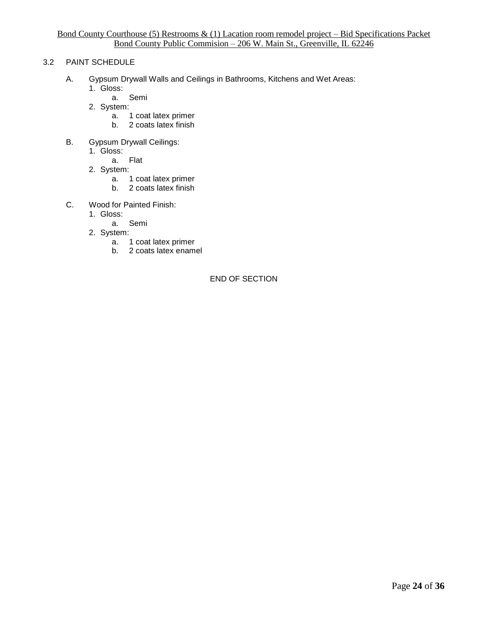# 3.2 PAINT SCHEDULE

- A. Gypsum Drywall Walls and Ceilings in Bathrooms, Kitchens and Wet Areas:
	- 1. Gloss:
		- a. Semi
	- 2. System:
		- a. 1 coat latex primer
		- b. 2 coats latex finish
- B. Gypsum Drywall Ceilings:
	- 1. Gloss:
		- a. Flat
	- 2. System:
		- a. 1 coat latex primer
		- b. 2 coats latex finish
- C. Wood for Painted Finish:
	- 1. Gloss:
		- a. Semi
	- 2. System:
		- a. 1 coat latex primer
		- b. 2 coats latex enamel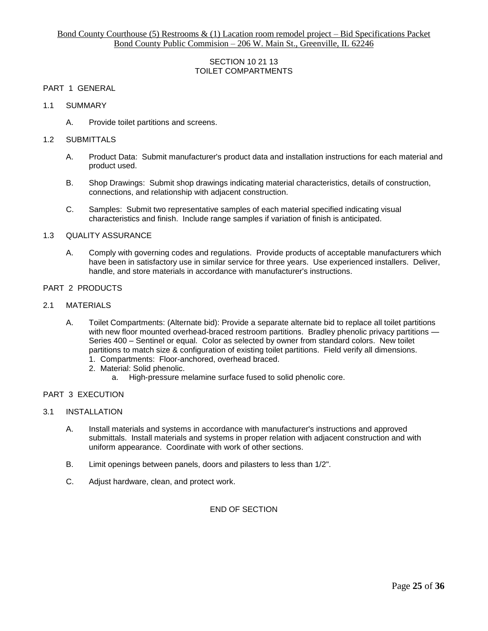## SECTION 10 21 13 TOILET COMPARTMENTS

#### PART 1 GENERAL

- 1.1 SUMMARY
	- A. Provide toilet partitions and screens.

#### 1.2 SUBMITTALS

- A. Product Data: Submit manufacturer's product data and installation instructions for each material and product used.
- B. Shop Drawings: Submit shop drawings indicating material characteristics, details of construction, connections, and relationship with adjacent construction.
- C. Samples: Submit two representative samples of each material specified indicating visual characteristics and finish. Include range samples if variation of finish is anticipated.

#### 1.3 QUALITY ASSURANCE

A. Comply with governing codes and regulations. Provide products of acceptable manufacturers which have been in satisfactory use in similar service for three years. Use experienced installers. Deliver, handle, and store materials in accordance with manufacturer's instructions.

#### PART 2 PRODUCTS

- 2.1 MATERIALS
	- A. Toilet Compartments: (Alternate bid): Provide a separate alternate bid to replace all toilet partitions with new floor mounted overhead-braced restroom partitions. Bradley phenolic privacy partitions — Series 400 – Sentinel or equal. Color as selected by owner from standard colors. New toilet partitions to match size & configuration of existing toilet partitions. Field verify all dimensions.
		- 1. Compartments: Floor-anchored, overhead braced.
		- 2. Material: Solid phenolic.
			- a. High-pressure melamine surface fused to solid phenolic core.

## PART 3 EXECUTION

## 3.1 INSTALLATION

- A. Install materials and systems in accordance with manufacturer's instructions and approved submittals. Install materials and systems in proper relation with adjacent construction and with uniform appearance. Coordinate with work of other sections.
- B. Limit openings between panels, doors and pilasters to less than 1/2".
- C. Adjust hardware, clean, and protect work.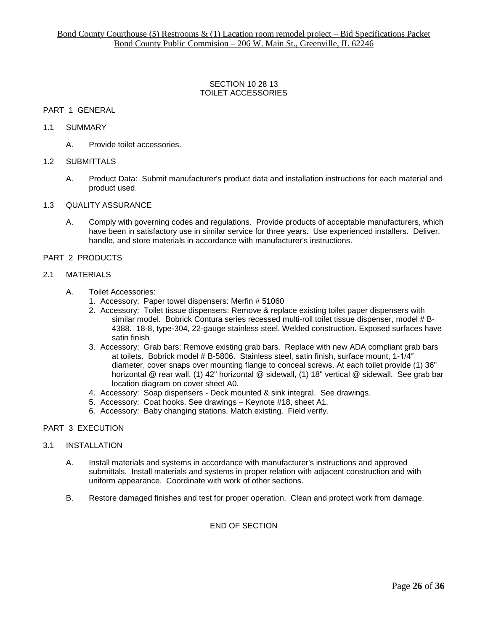#### SECTION 10 28 13 TOILET ACCESSORIES

## PART 1 GENERAL

#### 1.1 SUMMARY

A. Provide toilet accessories.

#### 1.2 SUBMITTALS

A. Product Data: Submit manufacturer's product data and installation instructions for each material and product used.

#### 1.3 QUALITY ASSURANCE

A. Comply with governing codes and regulations. Provide products of acceptable manufacturers, which have been in satisfactory use in similar service for three years. Use experienced installers. Deliver, handle, and store materials in accordance with manufacturer's instructions.

# PART 2 PRODUCTS

#### 2.1 MATERIALS

- A. Toilet Accessories:
	- 1. Accessory: Paper towel dispensers: Merfin # 51060
	- 2. Accessory: Toilet tissue dispensers: Remove & replace existing toilet paper dispensers with similar model. Bobrick Contura series recessed multi-roll toilet tissue dispenser, model # B-4388. 18-8, type-304, 22-gauge stainless steel. Welded construction. Exposed surfaces have satin finish
	- 3. Accessory: Grab bars: Remove existing grab bars. Replace with new ADA compliant grab bars at toilets. Bobrick model # B-5806. Stainless steel, satin finish, surface mount, 1-1/4″ diameter, cover snaps over mounting flange to conceal screws. At each toilet provide (1) 36" horizontal @ rear wall, (1) 42" horizontal @ sidewall, (1) 18" vertical @ sidewall. See grab bar location diagram on cover sheet A0.
	- 4. Accessory: Soap dispensers Deck mounted & sink integral. See drawings.
	- 5. Accessory: Coat hooks. See drawings Keynote #18, sheet A1.
	- 6. Accessory: Baby changing stations. Match existing. Field verify.

#### PART 3 EXECUTION

#### 3.1 INSTALLATION

- A. Install materials and systems in accordance with manufacturer's instructions and approved submittals. Install materials and systems in proper relation with adjacent construction and with uniform appearance. Coordinate with work of other sections.
- B. Restore damaged finishes and test for proper operation. Clean and protect work from damage.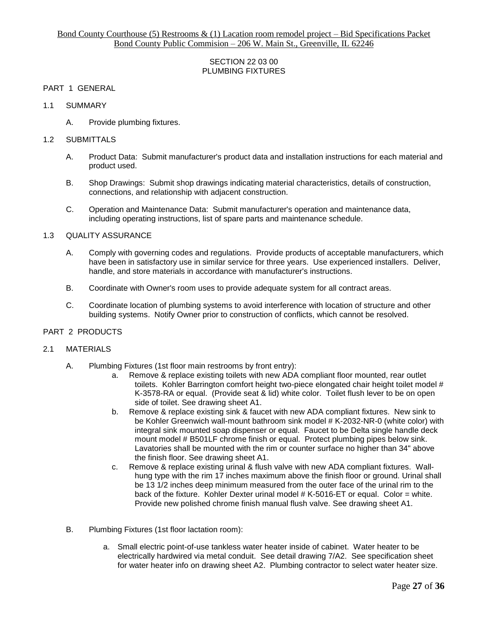## SECTION 22 03 00 PLUMBING FIXTURES

## PART 1 GENERAL

#### 1.1 SUMMARY

A. Provide plumbing fixtures.

#### 1.2 SUBMITTALS

- A. Product Data: Submit manufacturer's product data and installation instructions for each material and product used.
- B. Shop Drawings: Submit shop drawings indicating material characteristics, details of construction, connections, and relationship with adjacent construction.
- C. Operation and Maintenance Data: Submit manufacturer's operation and maintenance data, including operating instructions, list of spare parts and maintenance schedule.

#### 1.3 QUALITY ASSURANCE

- A. Comply with governing codes and regulations. Provide products of acceptable manufacturers, which have been in satisfactory use in similar service for three years. Use experienced installers. Deliver, handle, and store materials in accordance with manufacturer's instructions.
- B. Coordinate with Owner's room uses to provide adequate system for all contract areas.
- C. Coordinate location of plumbing systems to avoid interference with location of structure and other building systems. Notify Owner prior to construction of conflicts, which cannot be resolved.

#### PART 2 PRODUCTS

#### 2.1 MATERIALS

- A. Plumbing Fixtures (1st floor main restrooms by front entry):
	- a. Remove & replace existing toilets with new ADA compliant floor mounted, rear outlet toilets. Kohler Barrington comfort height two-piece elongated chair height toilet model # K-3578-RA or equal. (Provide seat & lid) white color. Toilet flush lever to be on open side of toilet. See drawing sheet A1.
	- b. Remove & replace existing sink & faucet with new ADA compliant fixtures. New sink to be Kohler Greenwich wall-mount bathroom sink model # K-2032-NR-0 (white color) with integral sink mounted soap dispenser or equal. Faucet to be Delta single handle deck mount model # B501LF chrome finish or equal. Protect plumbing pipes below sink. Lavatories shall be mounted with the rim or counter surface no higher than 34" above the finish floor. See drawing sheet A1.
	- c. Remove & replace existing urinal & flush valve with new ADA compliant fixtures. Wallhung type with the rim 17 inches maximum above the finish floor or ground. Urinal shall be 13 1/2 inches deep minimum measured from the outer face of the urinal rim to the back of the fixture. Kohler Dexter urinal model  $#K-5016$ -ET or equal. Color = white. Provide new polished chrome finish manual flush valve. See drawing sheet A1.
- B. Plumbing Fixtures (1st floor lactation room):
	- a. Small electric point-of-use tankless water heater inside of cabinet. Water heater to be electrically hardwired via metal conduit. See detail drawing 7/A2. See specification sheet for water heater info on drawing sheet A2. Plumbing contractor to select water heater size.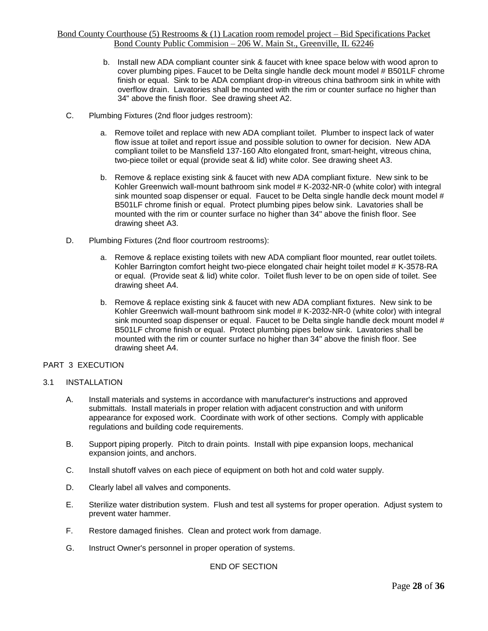- b. Install new ADA compliant counter sink & faucet with knee space below with wood apron to cover plumbing pipes. Faucet to be Delta single handle deck mount model # B501LF chrome finish or equal. Sink to be ADA compliant drop-in vitreous china bathroom sink in white with overflow drain. Lavatories shall be mounted with the rim or counter surface no higher than 34" above the finish floor. See drawing sheet A2.
- C. Plumbing Fixtures (2nd floor judges restroom):
	- a. Remove toilet and replace with new ADA compliant toilet. Plumber to inspect lack of water flow issue at toilet and report issue and possible solution to owner for decision. New ADA compliant toilet to be Mansfield 137-160 Alto elongated front, smart-height, vitreous china, two-piece toilet or equal (provide seat & lid) white color. See drawing sheet A3.
	- b. Remove & replace existing sink & faucet with new ADA compliant fixture. New sink to be Kohler Greenwich wall-mount bathroom sink model # K-2032-NR-0 (white color) with integral sink mounted soap dispenser or equal. Faucet to be Delta single handle deck mount model # B501LF chrome finish or equal. Protect plumbing pipes below sink. Lavatories shall be mounted with the rim or counter surface no higher than 34" above the finish floor. See drawing sheet A3.
- D. Plumbing Fixtures (2nd floor courtroom restrooms):
	- a. Remove & replace existing toilets with new ADA compliant floor mounted, rear outlet toilets. Kohler Barrington comfort height two-piece elongated chair height toilet model # K-3578-RA or equal. (Provide seat & lid) white color. Toilet flush lever to be on open side of toilet. See drawing sheet A4.
	- b. Remove & replace existing sink & faucet with new ADA compliant fixtures. New sink to be Kohler Greenwich wall-mount bathroom sink model # K-2032-NR-0 (white color) with integral sink mounted soap dispenser or equal. Faucet to be Delta single handle deck mount model # B501LF chrome finish or equal. Protect plumbing pipes below sink. Lavatories shall be mounted with the rim or counter surface no higher than 34" above the finish floor. See drawing sheet A4.

# PART 3 EXECUTION

#### 3.1 INSTALLATION

- A. Install materials and systems in accordance with manufacturer's instructions and approved submittals. Install materials in proper relation with adjacent construction and with uniform appearance for exposed work. Coordinate with work of other sections. Comply with applicable regulations and building code requirements.
- B. Support piping properly. Pitch to drain points. Install with pipe expansion loops, mechanical expansion joints, and anchors.
- C. Install shutoff valves on each piece of equipment on both hot and cold water supply.
- D. Clearly label all valves and components.
- E. Sterilize water distribution system. Flush and test all systems for proper operation. Adjust system to prevent water hammer.
- F. Restore damaged finishes. Clean and protect work from damage.
- G. Instruct Owner's personnel in proper operation of systems.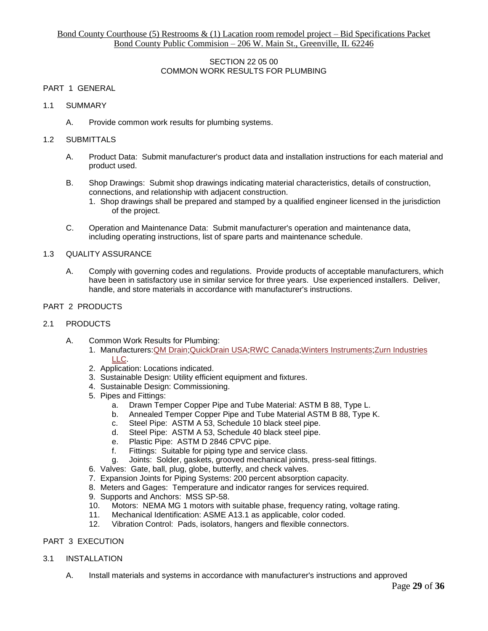## SECTION 22 05 00 COMMON WORK RESULTS FOR PLUMBING

## PART 1 GENERAL

- 1.1 SUMMARY
	- A. Provide common work results for plumbing systems.

## 1.2 SUBMITTALS

- A. Product Data: Submit manufacturer's product data and installation instructions for each material and product used.
- B. Shop Drawings: Submit shop drawings indicating material characteristics, details of construction, connections, and relationship with adjacent construction.
	- 1. Shop drawings shall be prepared and stamped by a qualified engineer licensed in the jurisdiction of the project.
- C. Operation and Maintenance Data: Submit manufacturer's operation and maintenance data, including operating instructions, list of spare parts and maintenance schedule.

## 1.3 QUALITY ASSURANCE

A. Comply with governing codes and regulations. Provide products of acceptable manufacturers, which have been in satisfactory use in similar service for three years. Use experienced installers. Deliver, handle, and store materials in accordance with manufacturer's instructions.

## PART 2 PRODUCTS

#### 2.1 PRODUCTS

- A. Common Work Results for Plumbing:
	- 1. Manufacturers[:QM Drain;](https://www.arcat.com/arcatcos/cos50/arc50113.html)[QuickDrain USA;](https://www.arcat.com/arcatcos/cos45/arc45795.html)[RWC Canada;](https://www.arcat.com/arcatcos/cos53/arc53361.html)[Winters Instruments](https://www.arcat.com/arcatcos/cos53/arc53540.html)[;Zurn Industries](https://www.arcat.com/arcatcos/cos50/arc50102.html)  [LLC.](https://www.arcat.com/arcatcos/cos50/arc50102.html)
	- 2. Application: Locations indicated.
	- 3. Sustainable Design: Utility efficient equipment and fixtures.
	- 4. Sustainable Design: Commissioning.
	- 5. Pipes and Fittings:
		- a. Drawn Temper Copper Pipe and Tube Material: ASTM B 88, Type L.
		- b. Annealed Temper Copper Pipe and Tube Material ASTM B 88, Type K. c. Steel Pipe: ASTM A 53, Schedule 10 black steel pipe.
		- c. Steel Pipe: ASTM A 53, Schedule 10 black steel pipe.<br>d. Steel Pipe: ASTM A 53. Schedule 40 black steel pipe
		- Steel Pipe: ASTM A 53, Schedule 40 black steel pipe.
		- e. Plastic Pipe: ASTM D 2846 CPVC pipe.
		- f. Fittings: Suitable for piping type and service class.
		- g. Joints: Solder, gaskets, grooved mechanical joints, press-seal fittings.
	- 6. Valves: Gate, ball, plug, globe, butterfly, and check valves.
	- 7. Expansion Joints for Piping Systems: 200 percent absorption capacity.
	- 8. Meters and Gages: Temperature and indicator ranges for services required.
	- 9. Supports and Anchors: MSS SP-58.
	- 10. Motors: NEMA MG 1 motors with suitable phase, frequency rating, voltage rating.
	- 11. Mechanical Identification: ASME A13.1 as applicable, color coded.
	- 12. Vibration Control: Pads, isolators, hangers and flexible connectors.

# PART 3 EXECUTION

#### 3.1 INSTALLATION

A. Install materials and systems in accordance with manufacturer's instructions and approved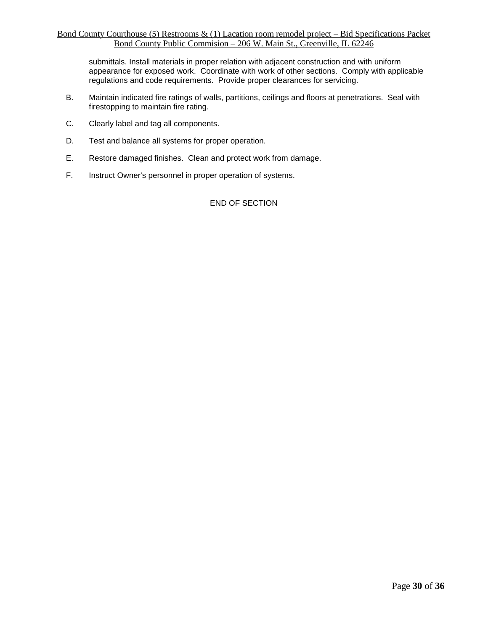submittals. Install materials in proper relation with adjacent construction and with uniform appearance for exposed work. Coordinate with work of other sections. Comply with applicable regulations and code requirements. Provide proper clearances for servicing.

- B. Maintain indicated fire ratings of walls, partitions, ceilings and floors at penetrations. Seal with firestopping to maintain fire rating.
- C. Clearly label and tag all components.
- D. Test and balance all systems for proper operation.
- E. Restore damaged finishes. Clean and protect work from damage.
- F. Instruct Owner's personnel in proper operation of systems.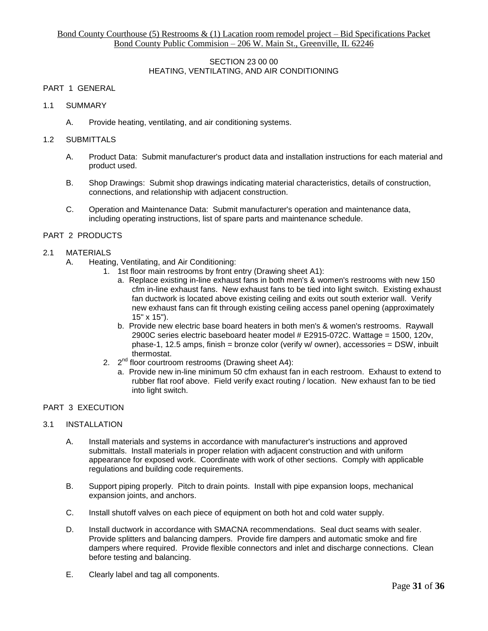## SECTION 23 00 00 HEATING, VENTILATING, AND AIR CONDITIONING

## PART 1 GENERAL

- 1.1 SUMMARY
	- A. Provide heating, ventilating, and air conditioning systems.

## 1.2 SUBMITTALS

- A. Product Data: Submit manufacturer's product data and installation instructions for each material and product used.
- B. Shop Drawings: Submit shop drawings indicating material characteristics, details of construction, connections, and relationship with adjacent construction.
- C. Operation and Maintenance Data: Submit manufacturer's operation and maintenance data, including operating instructions, list of spare parts and maintenance schedule.

## PART 2 PRODUCTS

## 2.1 MATERIALS

- A. Heating, Ventilating, and Air Conditioning:
	- 1. 1st floor main restrooms by front entry (Drawing sheet A1):
		- a. Replace existing in-line exhaust fans in both men's & women's restrooms with new 150 cfm in-line exhaust fans. New exhaust fans to be tied into light switch. Existing exhaust fan ductwork is located above existing ceiling and exits out south exterior wall. Verify new exhaust fans can fit through existing ceiling access panel opening (approximately 15" x 15").
		- b. Provide new electric base board heaters in both men's & women's restrooms. Raywall 2900C series electric baseboard heater model # E2915-072C. Wattage = 1500, 120v, phase-1, 12.5 amps, finish = bronze color (verify w/ owner), accessories = DSW, inbuilt thermostat.
	- 2.  $2^{nd}$  floor courtroom restrooms (Drawing sheet A4):
		- a. Provide new in-line minimum 50 cfm exhaust fan in each restroom. Exhaust to extend to rubber flat roof above. Field verify exact routing / location. New exhaust fan to be tied into light switch.

## PART 3 EXECUTION

#### 3.1 INSTALLATION

- A. Install materials and systems in accordance with manufacturer's instructions and approved submittals. Install materials in proper relation with adjacent construction and with uniform appearance for exposed work. Coordinate with work of other sections. Comply with applicable regulations and building code requirements.
- B. Support piping properly. Pitch to drain points. Install with pipe expansion loops, mechanical expansion joints, and anchors.
- C. Install shutoff valves on each piece of equipment on both hot and cold water supply.
- D. Install ductwork in accordance with SMACNA recommendations. Seal duct seams with sealer. Provide splitters and balancing dampers. Provide fire dampers and automatic smoke and fire dampers where required. Provide flexible connectors and inlet and discharge connections. Clean before testing and balancing.
- E. Clearly label and tag all components.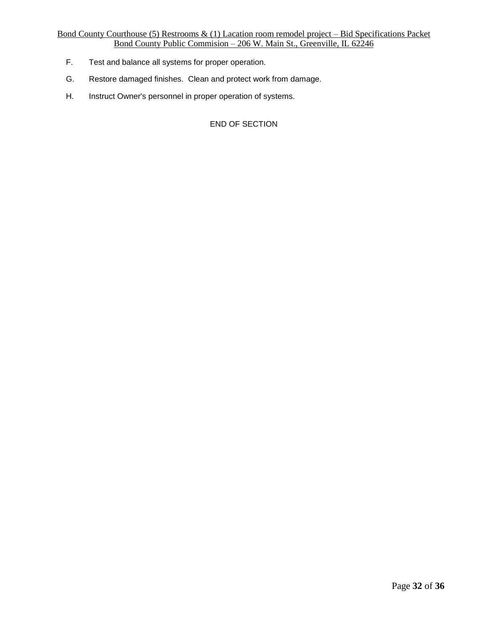- F. Test and balance all systems for proper operation.
- G. Restore damaged finishes. Clean and protect work from damage.
- H. Instruct Owner's personnel in proper operation of systems.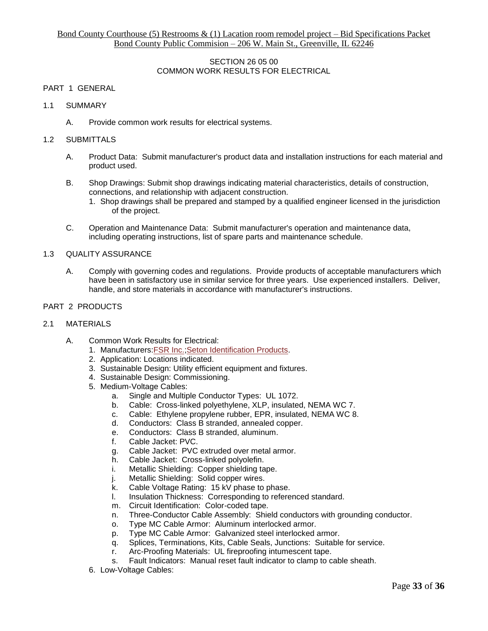## SECTION 26 05 00 COMMON WORK RESULTS FOR ELECTRICAL

## PART 1 GENERAL

- 1.1 SUMMARY
	- A. Provide common work results for electrical systems.

## 1.2 SUBMITTALS

- A. Product Data: Submit manufacturer's product data and installation instructions for each material and product used.
- B. Shop Drawings: Submit shop drawings indicating material characteristics, details of construction, connections, and relationship with adjacent construction.
	- 1. Shop drawings shall be prepared and stamped by a qualified engineer licensed in the jurisdiction of the project.
- C. Operation and Maintenance Data: Submit manufacturer's operation and maintenance data, including operating instructions, list of spare parts and maintenance schedule.

## 1.3 QUALITY ASSURANCE

A. Comply with governing codes and regulations. Provide products of acceptable manufacturers which have been in satisfactory use in similar service for three years. Use experienced installers. Deliver, handle, and store materials in accordance with manufacturer's instructions.

## PART 2 PRODUCTS

#### 2.1 MATERIALS

- A. Common Work Results for Electrical:
	- 1. Manufacturers[:FSR Inc.;](https://www.arcat.com/arcatcos/cos40/arc40389.html)[Seton Identification Products.](https://www.arcat.com/arcatcos/cos35/arc35456.html)
	- 2. Application: Locations indicated.
	- 3. Sustainable Design: Utility efficient equipment and fixtures.
	- 4. Sustainable Design: Commissioning.
	- 5. Medium-Voltage Cables:
		- a. Single and Multiple Conductor Types: UL 1072.
		- b. Cable: Cross-linked polyethylene, XLP, insulated, NEMA WC 7.
		- c. Cable: Ethylene propylene rubber, EPR, insulated, NEMA WC 8.
		- d. Conductors: Class B stranded, annealed copper.<br>e. Conductors: Class B stranded. aluminum
		- Conductors: Class B stranded, aluminum.
		- f. Cable Jacket: PVC.
		- g. Cable Jacket: PVC extruded over metal armor.
		- h. Cable Jacket: Cross-linked polyolefin.
		- i. Metallic Shielding: Copper shielding tape.
		- j. Metallic Shielding: Solid copper wires.<br>k. Cable Voltage Rating: 15 kV phase to
		- Cable Voltage Rating: 15 kV phase to phase.
		- l. Insulation Thickness: Corresponding to referenced standard.
		- m. Circuit Identification: Color-coded tape.
		- n. Three-Conductor Cable Assembly: Shield conductors with grounding conductor.
		- o. Type MC Cable Armor: Aluminum interlocked armor.
		- p. Type MC Cable Armor: Galvanized steel interlocked armor.<br>q. Splices, Terminations, Kits, Cable Seals. Junctions: Suitable
		- Splices, Terminations, Kits, Cable Seals, Junctions: Suitable for service.
		- r. Arc-Proofing Materials: UL fireproofing intumescent tape.
		- s. Fault Indicators: Manual reset fault indicator to clamp to cable sheath.
	- 6. Low-Voltage Cables: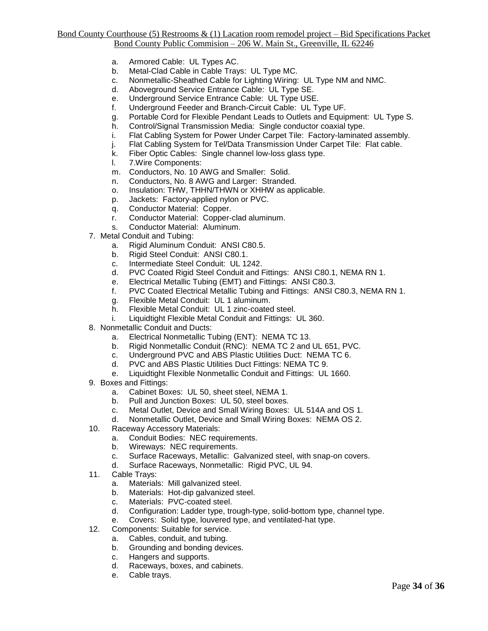- a. Armored Cable: UL Types AC.
- b. Metal-Clad Cable in Cable Trays: UL Type MC.
- c. Nonmetallic-Sheathed Cable for Lighting Wiring: UL Type NM and NMC.
- d. Aboveground Service Entrance Cable: UL Type SE.
- e. Underground Service Entrance Cable: UL Type USE.
- f. Underground Feeder and Branch-Circuit Cable: UL Type UF.
- g. Portable Cord for Flexible Pendant Leads to Outlets and Equipment: UL Type S.
- h. Control/Signal Transmission Media: Single conductor coaxial type.
- i. Flat Cabling System for Power Under Carpet Tile: Factory-laminated assembly.
- j. Flat Cabling System for Tel/Data Transmission Under Carpet Tile: Flat cable.
- k. Fiber Optic Cables: Single channel low-loss glass type.
- l. 7.Wire Components:
- m. Conductors, No. 10 AWG and Smaller: Solid.
- n. Conductors, No. 8 AWG and Larger: Stranded.
- o. Insulation: THW, THHN/THWN or XHHW as applicable.
- p. Jackets: Factory-applied nylon or PVC.
- 
- q. Conductor Material: Copper.<br>r. Conductor Material: Connerr. Conductor Material: Copper-clad aluminum.
- Conductor Material: Aluminum.
- 7. Metal Conduit and Tubing:
	- a. Rigid Aluminum Conduit: ANSI C80.5.
	- b. Rigid Steel Conduit: ANSI C80.1.
	- c. Intermediate Steel Conduit: UL 1242.<br>d. PVC Coated Rigid Steel Conduit and F
	- d. PVC Coated Rigid Steel Conduit and Fittings: ANSI C80.1, NEMA RN 1.<br>e. Electrical Metallic Tubing (EMT) and Fittings: ANSI C80.3.
	- Electrical Metallic Tubing (EMT) and Fittings: ANSI C80.3.
	- f. PVC Coated Electrical Metallic Tubing and Fittings: ANSI C80.3, NEMA RN 1.
	- g. Flexible Metal Conduit: UL 1 aluminum.
	- h. Flexible Metal Conduit: UL 1 zinc-coated steel.
	- i. Liquidtight Flexible Metal Conduit and Fittings: UL 360.
- 8. Nonmetallic Conduit and Ducts:
	- a. Electrical Nonmetallic Tubing (ENT): NEMA TC 13.
	- b. Rigid Nonmetallic Conduit (RNC): NEMA TC 2 and UL 651, PVC.
	- c. Underground PVC and ABS Plastic Utilities Duct: NEMA TC 6.
	- d. PVC and ABS Plastic Utilities Duct Fittings: NEMA TC 9.
	- e. Liquidtight Flexible Nonmetallic Conduit and Fittings: UL 1660.
- 9. Boxes and Fittings:
	- a. Cabinet Boxes: UL 50, sheet steel, NEMA 1.
	- b. Pull and Junction Boxes: UL 50, steel boxes.
	- c. Metal Outlet, Device and Small Wiring Boxes: UL 514A and OS 1.<br>d. Nonmetallic Outlet, Device and Small Wiring Boxes: NEMA OS 2.
	- Nonmetallic Outlet, Device and Small Wiring Boxes: NEMA OS 2.
- 10. Raceway Accessory Materials:
	- a. Conduit Bodies: NEC requirements.
	- b. Wireways: NEC requirements.
	- c. Surface Raceways, Metallic: Galvanized steel, with snap-on covers.
	- d. Surface Raceways, Nonmetallic: Rigid PVC, UL 94.
- 11. Cable Trays:
	- a. Materials: Mill galvanized steel.
	- b. Materials: Hot-dip galvanized steel.
	- c. Materials: PVC-coated steel.
	- d. Configuration: Ladder type, trough-type, solid-bottom type, channel type.
	- e. Covers: Solid type, louvered type, and ventilated-hat type.
- 12. Components: Suitable for service.
	- a. Cables, conduit, and tubing.
	- b. Grounding and bonding devices.
	- c. Hangers and supports.
	- d. Raceways, boxes, and cabinets.<br>e. Cable trays.
	- Cable trays.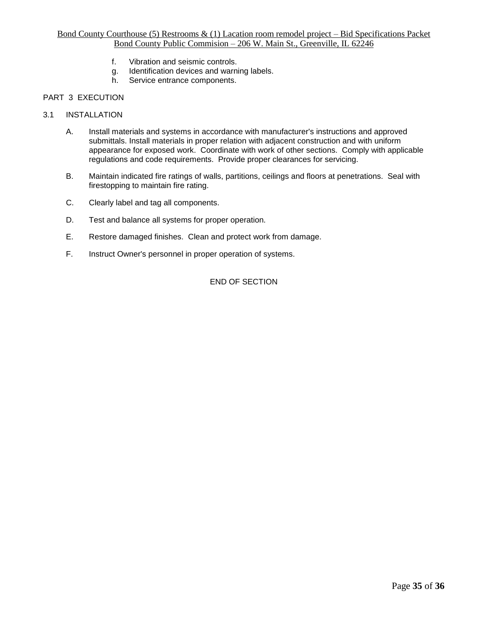- f. Vibration and seismic controls.
- g. Identification devices and warning labels.
- h. Service entrance components.

# PART 3 EXECUTION

- 3.1 INSTALLATION
	- A. Install materials and systems in accordance with manufacturer's instructions and approved submittals. Install materials in proper relation with adjacent construction and with uniform appearance for exposed work. Coordinate with work of other sections. Comply with applicable regulations and code requirements. Provide proper clearances for servicing.
	- B. Maintain indicated fire ratings of walls, partitions, ceilings and floors at penetrations. Seal with firestopping to maintain fire rating.
	- C. Clearly label and tag all components.
	- D. Test and balance all systems for proper operation.
	- E. Restore damaged finishes. Clean and protect work from damage.
	- F. Instruct Owner's personnel in proper operation of systems.